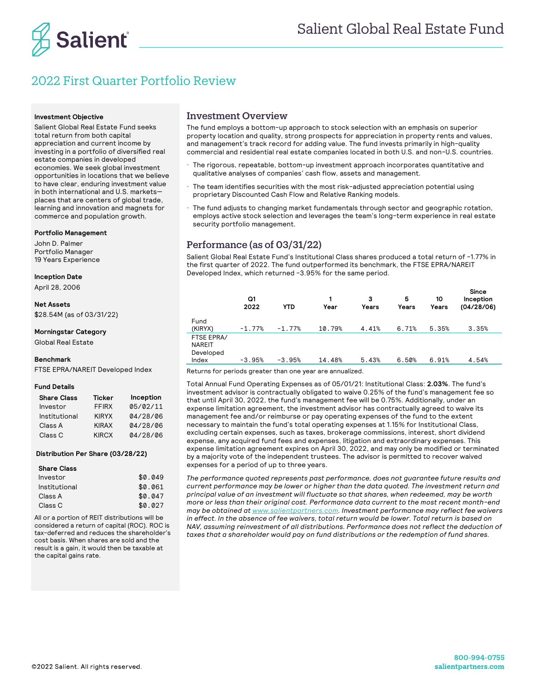

# 2022 First Quarter Portfolio Review

### **Investment Objective**

Salient Global Real Estate Fund seeks total return from both capital appreciation and current income by investing in a portfolio of diversified real estate companies in developed economies. We seek global investment opportunities in locations that we believe to have clear, enduring investment value in both international and U.S. markets places that are centers of global trade, learning and innovation and magnets for commerce and population growth.

#### **Portfolio Management**

John D. Palmer Portfolio Manager 19 Years Experience

**Inception Date** 

April 28, 2006

**Net Assets**

\$28.54M (as of 03/31/22)

**Morningstar Category**

Global Real Estate

### **Benchmark**

FTSE EPRA/NAREIT Developed Index

### **Fund Details**

| <b>Share Class</b> | <b>Ticker</b> | Inception |
|--------------------|---------------|-----------|
| Investor           | <b>FFIRX</b>  | 05/02/11  |
| Institutional      | <b>KIRYX</b>  | 04/28/06  |
| Class A            | <b>KIRAX</b>  | 04/28/06  |
| Class <sub>C</sub> | <b>KIRCX</b>  | 04/28/06  |

#### **Distribution Per Share (03/28/22)**

### **Share Class**  $Investor$   $$0.049$  Institutional \$0.061 Class A  $$0.047$  $Class C$   $$0.027$

All or a portion of REIT distributions will be considered a return of capital (ROC). ROC is tax-deferred and reduces the shareholder's cost basis. When shares are sold and the result is a gain, it would then be taxable at the capital gains rate.

### Investment Overview

The fund employs a bottom-up approach to stock selection with an emphasis on superior property location and quality, strong prospects for appreciation in property rents and values, and management's track record for adding value. The fund invests primarily in high-quality commercial and residential real estate companies located in both U.S. and non-U.S. countries.

- The rigorous, repeatable, bottom-up investment approach incorporates quantitative and qualitative analyses of companies' cash flow, assets and management.
- ! The team identifies securities with the most risk-adjusted appreciation potential using proprietary Discounted Cash Flow and Relative Ranking models.
- The fund adjusts to changing market fundamentals through sector and geographic rotation, employs active stock selection and leverages the team's long-term experience in real estate security portfolio management.

### Performance (as of 03/31/22)

Salient Global Real Estate Fund's Institutional Class shares produced a total return of -1.77% in the first quarter of 2022. The fund outperformed its benchmark, the FTSE EPRA/NAREIT Developed Index, which returned -3.95% for the same period.

|                                            | Q1<br>2022 | <b>YTD</b> | Year   | 3<br>Years | 5<br>Years | 10<br>Years | <b>Since</b><br>Inception<br>(04/28/06) |
|--------------------------------------------|------------|------------|--------|------------|------------|-------------|-----------------------------------------|
| Fund<br>(KIRYX)                            | $-1.77%$   | $-1.77%$   | 10.79% | 4.41%      | 6.71%      | 5.35%       | 3.35%                                   |
| FTSE EPRA/<br>NAREIT<br>Developed<br>Index | $-3.95%$   | $-3.95%$   | 14.48% | 5.43%      | 6.50%      | 6.91%       | 4.54%                                   |

Returns for periods greater than one year are annualized.

Total Annual Fund Operating Expenses as of 05/01/21: Institutional Class: **2.03%**. The fund's investment advisor is contractually obligated to waive 0.25% of the fund's management fee so that until April 30, 2022, the fund's management fee will be 0.75%. Additionally, under an expense limitation agreement, the investment advisor has contractually agreed to waive its management fee and/or reimburse or pay operating expenses of the fund to the extent necessary to maintain the fund's total operating expenses at 1.15% for Institutional Class, excluding certain expenses, such as taxes, brokerage commissions, interest, short dividend expense, any acquired fund fees and expenses, litigation and extraordinary expenses. This expense limitation agreement expires on April 30, 2022, and may only be modified or terminated by a majority vote of the independent trustees. The advisor is permitted to recover waived expenses for a period of up to three years.

*The performance quoted represents past performance, does not guarantee future results and current performance may be lower or higher than the data quoted. The investment return and principal value of an investment will fluctuate so that shares, when redeemed, may be worth more or less than their original cost. Performance data current to the most recent month-end may be obtained at www.salientpartners.com. Investment performance may reflect fee waivers in effect. In the absence of fee waivers, total return would be lower. Total return is based on NAV, assuming reinvestment of all distributions. Performance does not reflect the deduction of taxes that a shareholder would pay on fund distributions or the redemption of fund shares.*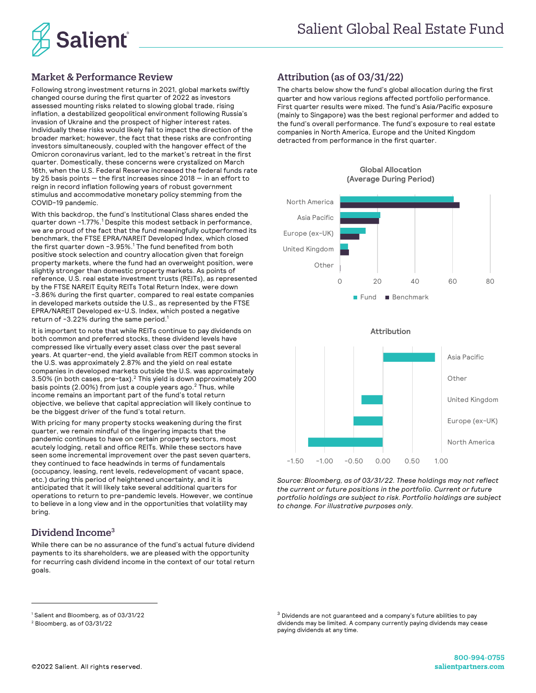

### Market & Performance Review

Following strong investment returns in 2021, global markets swiftly changed course during the first quarter of 2022 as investors assessed mounting risks related to slowing global trade, rising inflation, a destabilized geopolitical environment following Russia's invasion of Ukraine and the prospect of higher interest rates. Individually these risks would likely fail to impact the direction of the broader market; however, the fact that these risks are confronting investors simultaneously, coupled with the hangover effect of the Omicron coronavirus variant, led to the market's retreat in the first quarter. Domestically, these concerns were crystalized on March 16th, when the U.S. Federal Reserve increased the federal funds rate by 25 basis points — the first increases since 2018 — in an effort to reign in record inflation following years of robust government stimulus and accommodative monetary policy stemming from the COVID-19 pandemic.

With this backdrop, the fund's Institutional Class shares ended the quarter down -1.77%. <sup>1</sup> Despite this modest setback in performance, we are proud of the fact that the fund meaningfully outperformed its benchmark, the FTSE EPRA/NAREIT Developed Index, which closed the first quarter down  $-3.95\%$ .<sup>1</sup> The fund benefited from both positive stock selection and country allocation given that foreign property markets, where the fund had an overweight position, were slightly stronger than domestic property markets. As points of reference, U.S. real estate investment trusts (REITs), as represented by the FTSE NAREIT Equity REITs Total Return Index, were down -3.86% during the first quarter, compared to real estate companies in developed markets outside the U.S., as represented by the FTSE EPRA/NAREIT Developed ex-U.S. Index, which posted a negative return of -3.22% during the same period. $^1$ 

It is important to note that while REITs continue to pay dividends on both common and preferred stocks, these dividend levels have compressed like virtually every asset class over the past several years. At quarter-end, the yield available from REIT common stocks in the U.S. was approximately 2.87% and the yield on real estate companies in developed markets outside the U.S. was approximately  $3.50\%$  (in both cases, pre-tax). $^2$  This yield is down approximately 200 basis points (2.00%) from just a couple years ago.<sup>2</sup> Thus, while income remains an important part of the fund's total return objective, we believe that capital appreciation will likely continue to be the biggest driver of the fund's total return.

With pricing for many property stocks weakening during the first quarter, we remain mindful of the lingering impacts that the pandemic continues to have on certain property sectors, most acutely lodging, retail and office REITs. While these sectors have seen some incremental improvement over the past seven quarters, they continued to face headwinds in terms of fundamentals (occupancy, leasing, rent levels, redevelopment of vacant space, etc.) during this period of heightened uncertainty, and it is anticipated that it will likely take several additional quarters for operations to return to pre-pandemic levels. However, we continue to believe in a long view and in the opportunities that volatility may bring.

### Dividend Income<sup>3</sup>

While there can be no assurance of the fund's actual future dividend payments to its shareholders, we are pleased with the opportunity for recurring cash dividend income in the context of our total return goals.

# Attribution (as of 03/31/22)

The charts below show the fund's global allocation during the first quarter and how various regions affected portfolio performance. First quarter results were mixed. The fund's Asia/Pacific exposure (mainly to Singapore) was the best regional performer and added to the fund's overall performance. The fund's exposure to real estate companies in North America, Europe and the United Kingdom detracted from performance in the first quarter.



### **Global Allocation (Average During Period)**



*Source: Bloomberg, as of 03/31/22. These holdings may not reflect the current or future positions in the portfolio. Current or future portfolio holdings are subject to risk. Portfolio holdings are subject to change. For illustrative purposes only.*

<sup>1</sup> Salient and Bloomberg, as of 03/31/22

<sup>2</sup> Bloomberg, as of 03/31/22

 $^3$  Dividends are not guaranteed and a company's future abilities to pay dividends may be limited. A company currently paying dividends may cease paying dividends at any time.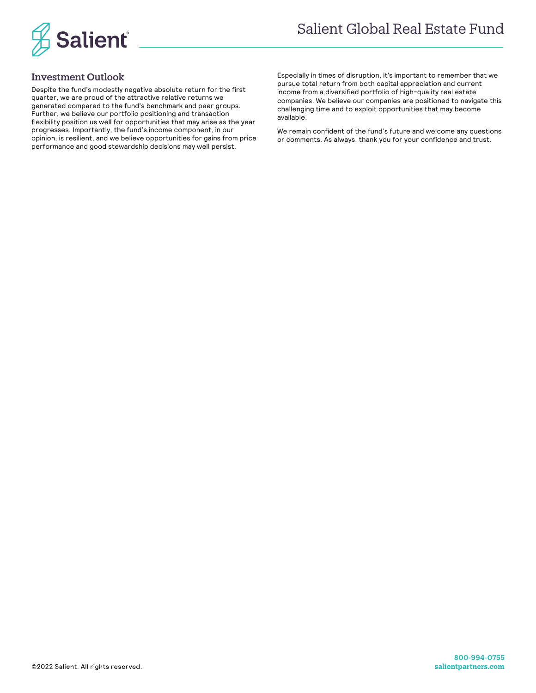

## Investment Outlook

Despite the fund's modestly negative absolute return for the first quarter, we are proud of the attractive relative returns we generated compared to the fund's benchmark and peer groups. Further, we believe our portfolio positioning and transaction flexibility position us well for opportunities that may arise as the year progresses. Importantly, the fund's income component, in our opinion, is resilient, and we believe opportunities for gains from price performance and good stewardship decisions may well persist.

Especially in times of disruption, it's important to remember that we pursue total return from both capital appreciation and current income from a diversified portfolio of high-quality real estate companies. We believe our companies are positioned to navigate this challenging time and to exploit opportunities that may become available.

We remain confident of the fund's future and welcome any questions or comments. As always, thank you for your confidence and trust.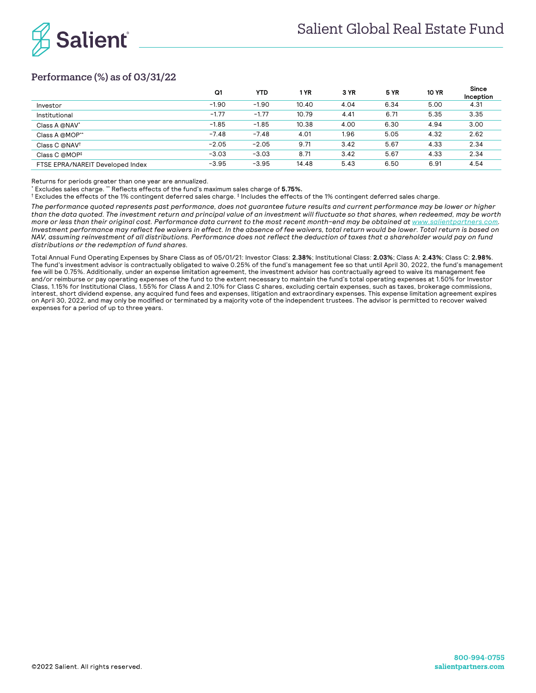

# Performance (%) as of 03/31/22

|                                  | Q1      | <b>YTD</b> | 1 YR  | 3 YR | <b>5 YR</b> | <b>10 YR</b> | <b>Since</b><br>Inception |
|----------------------------------|---------|------------|-------|------|-------------|--------------|---------------------------|
| Investor                         | $-1.90$ | $-1.90$    | 10.40 | 4.04 | 6.34        | 5.00         | 4.31                      |
| Institutional                    | $-1.77$ | $-1.77$    | 10.79 | 4.41 | 6.71        | 5.35         | 3.35                      |
| Class A @NAV*                    | $-1.85$ | $-1.85$    | 10.38 | 4.00 | 6.30        | 4.94         | 3.00                      |
| Class A @MOP**                   | $-7.48$ | $-7.48$    | 4.01  | 1.96 | 5.05        | 4.32         | 2.62                      |
| Class C @NAV <sup>+</sup>        | $-2.05$ | $-2.05$    | 9.71  | 3.42 | 5.67        | 4.33         | 2.34                      |
| Class C @MOP#                    | $-3.03$ | $-3.03$    | 8.71  | 3.42 | 5.67        | 4.33         | 2.34                      |
| FTSE EPRA/NAREIT Developed Index | $-3.95$ | $-3.95$    | 14.48 | 5.43 | 6.50        | 6.91         | 4.54                      |

Returns for periods greater than one year are annualized.

\* Excludes sales charge. \*\* Reflects effects of the fund's maximum sales charge of **5.75%.**

† Excludes the effects of the 1% contingent deferred sales charge. ‡ Includes the effects of the 1% contingent deferred sales charge.

*The performance quoted represents past performance, does not guarantee future results and current performance may be lower or higher than the data quoted. The investment return and principal value of an investment will fluctuate so that shares, when redeemed, may be worth more or less than their original cost. Performance data current to the most recent month-end may be obtained at www.salientpartners.com. Investment performance may reflect fee waivers in effect. In the absence of fee waivers, total return would be lower. Total return is based on NAV, assuming reinvestment of all distributions. Performance does not reflect the deduction of taxes that a shareholder would pay on fund distributions or the redemption of fund shares.*

Total Annual Fund Operating Expenses by Share Class as of 05/01/21: Investor Class: **2.38%**; Institutional Class: **2.03%**; Class A: **2.43%**; Class C: **2.98%**. The fund's investment advisor is contractually obligated to waive 0.25% of the fund's management fee so that until April 30, 2022, the fund's management fee will be 0.75%. Additionally, under an expense limitation agreement, the investment advisor has contractually agreed to waive its management fee and/or reimburse or pay operating expenses of the fund to the extent necessary to maintain the fund's total operating expenses at 1.50% for Investor Class, 1.15% for Institutional Class, 1.55% for Class A and 2.10% for Class C shares, excluding certain expenses, such as taxes, brokerage commissions, interest, short dividend expense, any acquired fund fees and expenses, litigation and extraordinary expenses. This expense limitation agreement expires on April 30, 2022, and may only be modified or terminated by a majority vote of the independent trustees. The advisor is permitted to recover waived expenses for a period of up to three years.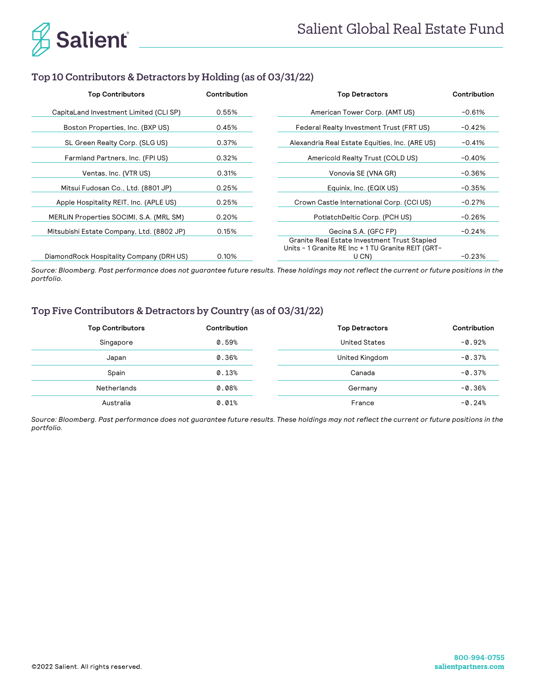

# Top 10 Contributors & Detractors by Holding (as of 03/31/22)

| <b>Top Contributors</b>                   | Contribution | <b>Top Detractors</b>                                                                              | Contribution |  |
|-------------------------------------------|--------------|----------------------------------------------------------------------------------------------------|--------------|--|
| CapitaLand Investment Limited (CLI SP)    | 0.55%        | American Tower Corp. (AMT US)                                                                      | $-0.61%$     |  |
| Boston Properties, Inc. (BXP US)          | 0.45%        | Federal Realty Investment Trust (FRT US)                                                           | $-0.42%$     |  |
| SL Green Realty Corp. (SLG US)            | 0.37%        | Alexandria Real Estate Equities, Inc. (ARE US)                                                     | $-0.41%$     |  |
| Farmland Partners, Inc. (FPI US)          | 0.32%        | Americold Realty Trust (COLD US)                                                                   | $-0.40%$     |  |
| Ventas, Inc. (VTR US)                     | 0.31%        | Vonovia SE (VNA GR)                                                                                | $-0.36%$     |  |
| Mitsui Fudosan Co., Ltd. (8801 JP)        | 0.25%        | Equinix, Inc. (EQIX US)                                                                            | $-0.35%$     |  |
| Apple Hospitality REIT, Inc. (APLE US)    | 0.25%        | Crown Castle International Corp. (CCI US)                                                          | $-0.27%$     |  |
| MERLIN Properties SOCIMI, S.A. (MRL SM)   | 0.20%        | PotlatchDeltic Corp. (PCH US)                                                                      | $-0.26%$     |  |
| Mitsubishi Estate Company, Ltd. (8802 JP) | 0.15%        | Gecina S.A. (GFC FP)                                                                               | $-0.24%$     |  |
|                                           |              | Granite Real Estate Investment Trust Stapled<br>Units - 1 Granite RE Inc + 1 TU Granite REIT (GRT- |              |  |
| DiamondRock Hospitality Company (DRH US)  | 0.10%        | U CN)                                                                                              | $-0.23%$     |  |

*Source: Bloomberg. Past performance does not guarantee future results. These holdings may not reflect the current or future positions in the portfolio.*

# Top Five Contributors & Detractors by Country (as of 03/31/22)

| <b>Top Contributors</b> | Contribution | <b>Top Detractors</b> | Contribution |
|-------------------------|--------------|-----------------------|--------------|
| Singapore               | 0.59%        | United States         | $-0.92%$     |
| Japan                   | 0.36%        | United Kingdom        | $-0.37%$     |
| Spain                   | 0.13%        | Canada                | $-0.37%$     |
| Netherlands             | $0.08\%$     | Germany               | $-0.36%$     |
| Australia               | 0.01%        | France                | $-0.24%$     |

*Source: Bloomberg. Past performance does not guarantee future results. These holdings may not reflect the current or future positions in the portfolio.*